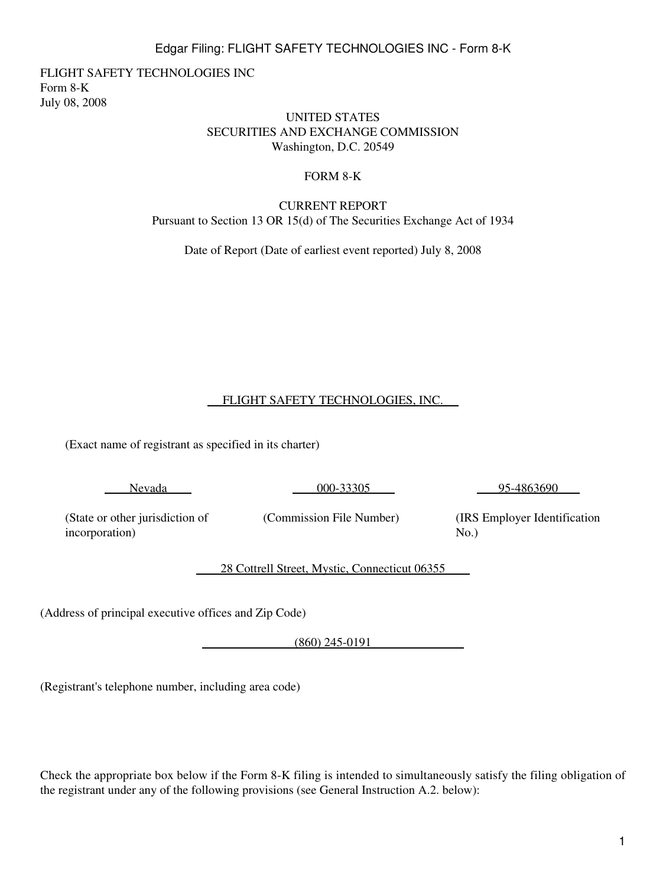1

# Edgar Filing: FLIGHT SAFETY TECHNOLOGIES INC - Form 8-K

FLIGHT SAFETY TECHNOLOGIES INC Form 8-K July 08, 2008

#### UNITED STATES SECURITIES AND EXCHANGE COMMISSION Washington, D.C. 20549

#### FORM 8-K

## CURRENT REPORT Pursuant to Section 13 OR 15(d) of The Securities Exchange Act of 1934

Date of Report (Date of earliest event reported) July 8, 2008

# FLIGHT SAFETY TECHNOLOGIES, INC.

(Exact name of registrant as specified in its charter)

Nevada

000-33305

95-4863690

(State or other jurisdiction of incorporation)

(Commission File Number)

(IRS Employer Identification  $No.$ )

28 Cottrell Street, Mystic, Connecticut 06355

(Address of principal executive offices and Zip Code)

(860) 245-0191

(Registrant's telephone number, including area code)

Check the appropriate box below if the Form 8-K filing is intended to simultaneously satisfy the filing obligation of the registrant under any of the following provisions (see General Instruction A.2. below):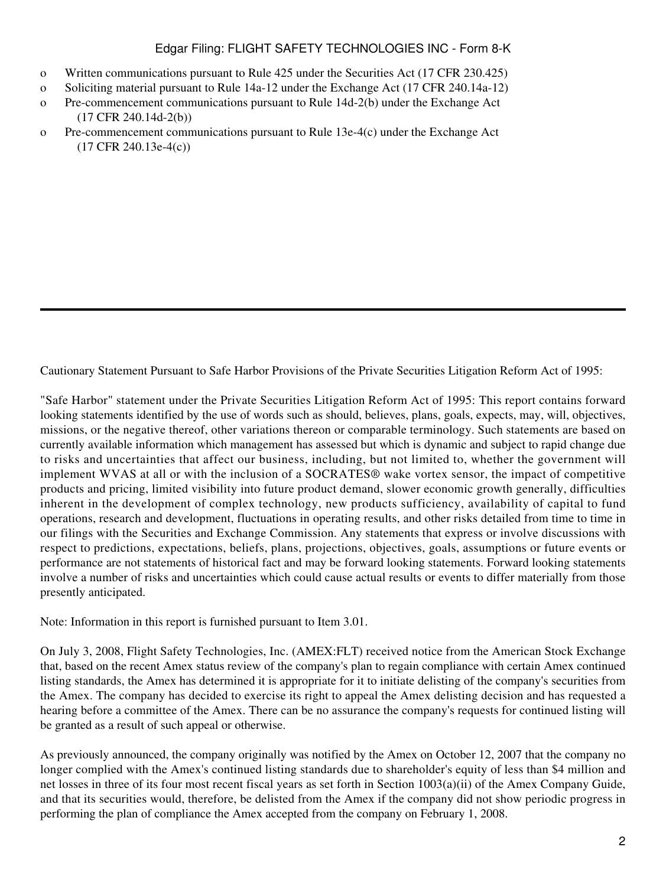# Edgar Filing: FLIGHT SAFETY TECHNOLOGIES INC - Form 8-K

- o Written communications pursuant to Rule 425 under the Securities Act (17 CFR 230.425)
- o Soliciting material pursuant to Rule 14a-12 under the Exchange Act (17 CFR 240.14a-12)
- o Pre-commencement communications pursuant to Rule 14d-2(b) under the Exchange Act (17 CFR 240.14d-2(b))
- o Pre-commencement communications pursuant to Rule 13e-4(c) under the Exchange Act (17 CFR 240.13e-4(c))

Cautionary Statement Pursuant to Safe Harbor Provisions of the Private Securities Litigation Reform Act of 1995:

"Safe Harbor" statement under the Private Securities Litigation Reform Act of 1995: This report contains forward looking statements identified by the use of words such as should, believes, plans, goals, expects, may, will, objectives, missions, or the negative thereof, other variations thereon or comparable terminology. Such statements are based on currently available information which management has assessed but which is dynamic and subject to rapid change due to risks and uncertainties that affect our business, including, but not limited to, whether the government will implement WVAS at all or with the inclusion of a SOCRATES® wake vortex sensor, the impact of competitive products and pricing, limited visibility into future product demand, slower economic growth generally, difficulties inherent in the development of complex technology, new products sufficiency, availability of capital to fund operations, research and development, fluctuations in operating results, and other risks detailed from time to time in our filings with the Securities and Exchange Commission. Any statements that express or involve discussions with respect to predictions, expectations, beliefs, plans, projections, objectives, goals, assumptions or future events or performance are not statements of historical fact and may be forward looking statements. Forward looking statements involve a number of risks and uncertainties which could cause actual results or events to differ materially from those presently anticipated.

Note: Information in this report is furnished pursuant to Item 3.01.

On July 3, 2008, Flight Safety Technologies, Inc. (AMEX:FLT) received notice from the American Stock Exchange that, based on the recent Amex status review of the company's plan to regain compliance with certain Amex continued listing standards, the Amex has determined it is appropriate for it to initiate delisting of the company's securities from the Amex. The company has decided to exercise its right to appeal the Amex delisting decision and has requested a hearing before a committee of the Amex. There can be no assurance the company's requests for continued listing will be granted as a result of such appeal or otherwise.

As previously announced, the company originally was notified by the Amex on October 12, 2007 that the company no longer complied with the Amex's continued listing standards due to shareholder's equity of less than \$4 million and net losses in three of its four most recent fiscal years as set forth in Section 1003(a)(ii) of the Amex Company Guide, and that its securities would, therefore, be delisted from the Amex if the company did not show periodic progress in performing the plan of compliance the Amex accepted from the company on February 1, 2008.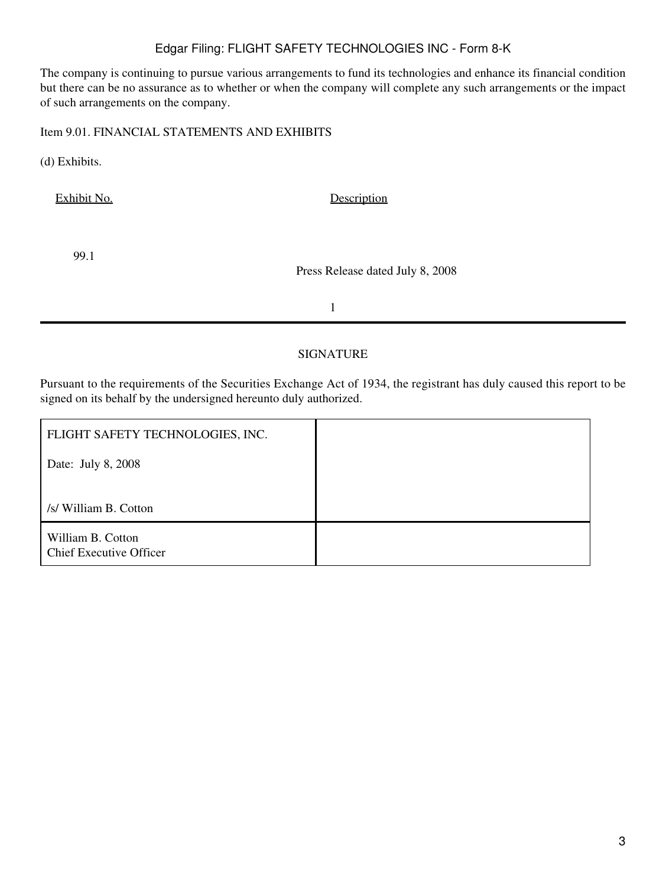## Edgar Filing: FLIGHT SAFETY TECHNOLOGIES INC - Form 8-K

The company is continuing to pursue various arrangements to fund its technologies and enhance its financial condition but there can be no assurance as to whether or when the company will complete any such arrangements or the impact of such arrangements on the company.

Item 9.01. FINANCIAL STATEMENTS AND EXHIBITS

(d) Exhibits.

Exhibit No. Description

99.1

Press Release dated July 8, 2008

1

#### SIGNATURE

Pursuant to the requirements of the Securities Exchange Act of 1934, the registrant has duly caused this report to be signed on its behalf by the undersigned hereunto duly authorized.

| FLIGHT SAFETY TECHNOLOGIES, INC.                    |  |
|-----------------------------------------------------|--|
| Date: July 8, 2008                                  |  |
|                                                     |  |
| /s/ William B. Cotton                               |  |
| William B. Cotton<br><b>Chief Executive Officer</b> |  |